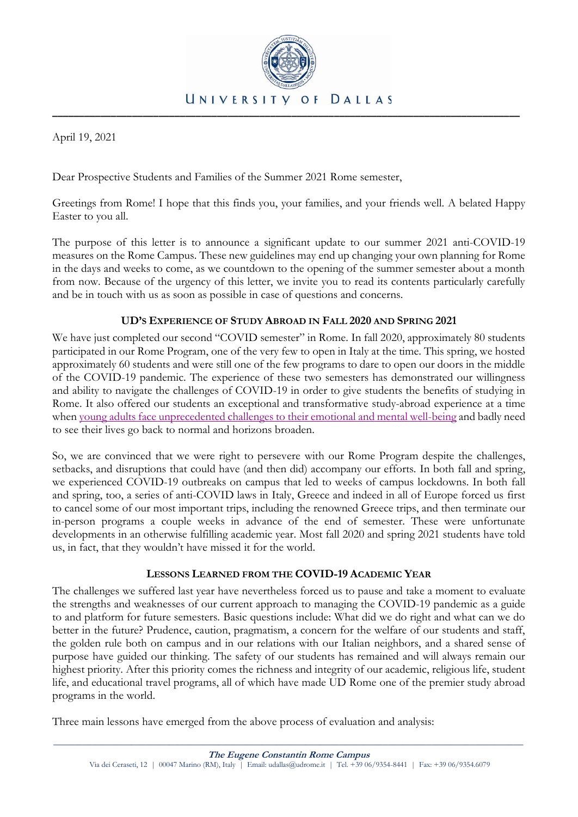

April 19, 2021

Dear Prospective Students and Families of the Summer 2021 Rome semester,

Greetings from Rome! I hope that this finds you, your families, and your friends well. A belated Happy Easter to you all.

The purpose of this letter is to announce a significant update to our summer 2021 anti-COVID-19 measures on the Rome Campus. These new guidelines may end up changing your own planning for Rome in the days and weeks to come, as we countdown to the opening of the summer semester about a month from now. Because of the urgency of this letter, we invite you to read its contents particularly carefully and be in touch with us as soon as possible in case of questions and concerns.

## **UD'S EXPERIENCE OF STUDY ABROAD IN FALL 2020 AND SPRING 2021**

We have just completed our second "COVID semester" in Rome. In fall 2020, approximately 80 students participated in our Rome Program, one of the very few to open in Italy at the time. This spring, we hosted approximately 60 students and were still one of the few programs to dare to open our doors in the middle of the COVID-19 pandemic. The experience of these two semesters has demonstrated our willingness and ability to navigate the challenges of COVID-19 in order to give students the benefits of studying in Rome. It also offered our students an exceptional and transformative study-abroad experience at a time whe[n young adults face unprecedented challenges to their emotional and mental well-being](https://www.cdc.gov/coronavirus/2019-ncov/daily-life-coping/parental-resource-kit/young-adulthood.html) and badly need to see their lives go back to normal and horizons broaden.

So, we are convinced that we were right to persevere with our Rome Program despite the challenges, setbacks, and disruptions that could have (and then did) accompany our efforts. In both fall and spring, we experienced COVID-19 outbreaks on campus that led to weeks of campus lockdowns. In both fall and spring, too, a series of anti-COVID laws in Italy, Greece and indeed in all of Europe forced us first to cancel some of our most important trips, including the renowned Greece trips, and then terminate our in-person programs a couple weeks in advance of the end of semester. These were unfortunate developments in an otherwise fulfilling academic year. Most fall 2020 and spring 2021 students have told us, in fact, that they wouldn't have missed it for the world.

## **LESSONS LEARNED FROM THE COVID-19 ACADEMIC YEAR**

The challenges we suffered last year have nevertheless forced us to pause and take a moment to evaluate the strengths and weaknesses of our current approach to managing the COVID-19 pandemic as a guide to and platform for future semesters. Basic questions include: What did we do right and what can we do better in the future? Prudence, caution, pragmatism, a concern for the welfare of our students and staff, the golden rule both on campus and in our relations with our Italian neighbors, and a shared sense of purpose have guided our thinking. The safety of our students has remained and will always remain our highest priority. After this priority comes the richness and integrity of our academic, religious life, student life, and educational travel programs, all of which have made UD Rome one of the premier study abroad programs in the world.

Three main lessons have emerged from the above process of evaluation and analysis: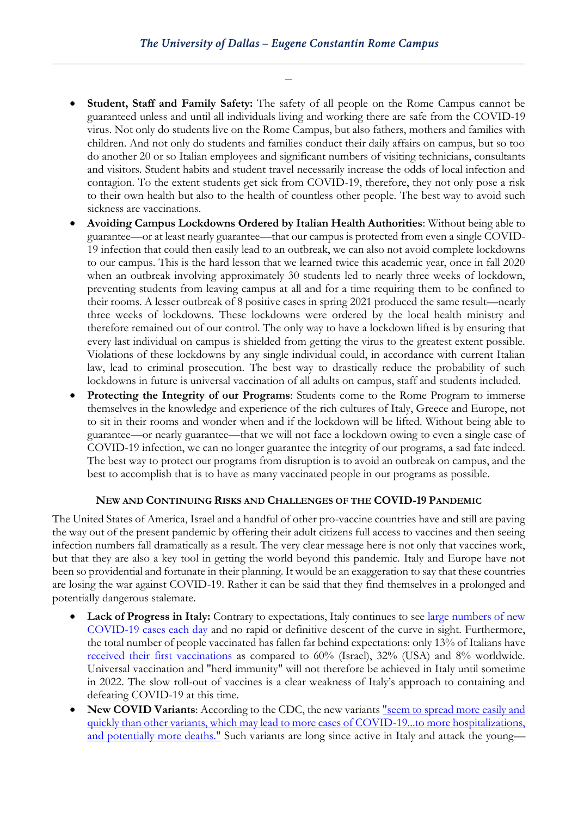- **Student, Staff and Family Safety:** The safety of all people on the Rome Campus cannot be guaranteed unless and until all individuals living and working there are safe from the COVID-19 virus. Not only do students live on the Rome Campus, but also fathers, mothers and families with children. And not only do students and families conduct their daily affairs on campus, but so too do another 20 or so Italian employees and significant numbers of visiting technicians, consultants and visitors. Student habits and student travel necessarily increase the odds of local infection and contagion. To the extent students get sick from COVID-19, therefore, they not only pose a risk to their own health but also to the health of countless other people. The best way to avoid such sickness are vaccinations.
- **Avoiding Campus Lockdowns Ordered by Italian Health Authorities**: Without being able to guarantee—or at least nearly guarantee—that our campus is protected from even a single COVID-19 infection that could then easily lead to an outbreak, we can also not avoid complete lockdowns to our campus. This is the hard lesson that we learned twice this academic year, once in fall 2020 when an outbreak involving approximately 30 students led to nearly three weeks of lockdown, preventing students from leaving campus at all and for a time requiring them to be confined to their rooms. A lesser outbreak of 8 positive cases in spring 2021 produced the same result—nearly three weeks of lockdowns. These lockdowns were ordered by the local health ministry and therefore remained out of our control. The only way to have a lockdown lifted is by ensuring that every last individual on campus is shielded from getting the virus to the greatest extent possible. Violations of these lockdowns by any single individual could, in accordance with current Italian law, lead to criminal prosecution. The best way to drastically reduce the probability of such lockdowns in future is universal vaccination of all adults on campus, staff and students included.
- **Protecting the Integrity of our Programs**: Students come to the Rome Program to immerse themselves in the knowledge and experience of the rich cultures of Italy, Greece and Europe, not to sit in their rooms and wonder when and if the lockdown will be lifted. Without being able to guarantee—or nearly guarantee—that we will not face a lockdown owing to even a single case of COVID-19 infection, we can no longer guarantee the integrity of our programs, a sad fate indeed. The best way to protect our programs from disruption is to avoid an outbreak on campus, and the best to accomplish that is to have as many vaccinated people in our programs as possible.

## **NEW AND CONTINUING RISKS AND CHALLENGES OF THE COVID-19 PANDEMIC**

The United States of America, Israel and a handful of other pro-vaccine countries have and still are paving the way out of the present pandemic by offering their adult citizens full access to vaccines and then seeing infection numbers fall dramatically as a result. The very clear message here is not only that vaccines work, but that they are also a key tool in getting the world beyond this pandemic. Italy and Europe have not been so providential and fortunate in their planning. It would be an exaggeration to say that these countries are losing the war against COVID-19. Rather it can be said that they find themselves in a prolonged and potentially dangerous stalemate.

- **Lack of Progress in Italy:** Contrary to expectations, Italy continues to see large numbers of new [COVID-19 cases each day](https://www.worldometers.info/coronavirus/country/italy/) and no rapid or definitive descent of the curve in sight. Furthermore, the total number of people vaccinated has fallen far behind expectations: only 13% of Italians have [received their first vaccinations](https://ourworldindata.org/covid-vaccinations) as compared to 60% (Israel), 32% (USA) and 8% worldwide. Universal vaccination and "herd immunity" will not therefore be achieved in Italy until sometime in 2022. The slow roll-out of vaccines is a clear weakness of Italy's approach to containing and defeating COVID-19 at this time.
- **New COVID Variants:** According to the CDC, the new variants **"seem to spread more easily and** [quickly than other variants, which may lead to more cases of COVID-19...to more hospitalizations,](https://www.cdc.gov/coronavirus/2019-ncov/transmission/variant.html)  [and potentially more deaths."](https://www.cdc.gov/coronavirus/2019-ncov/transmission/variant.html) Such variants are long since active in Italy and attack the young—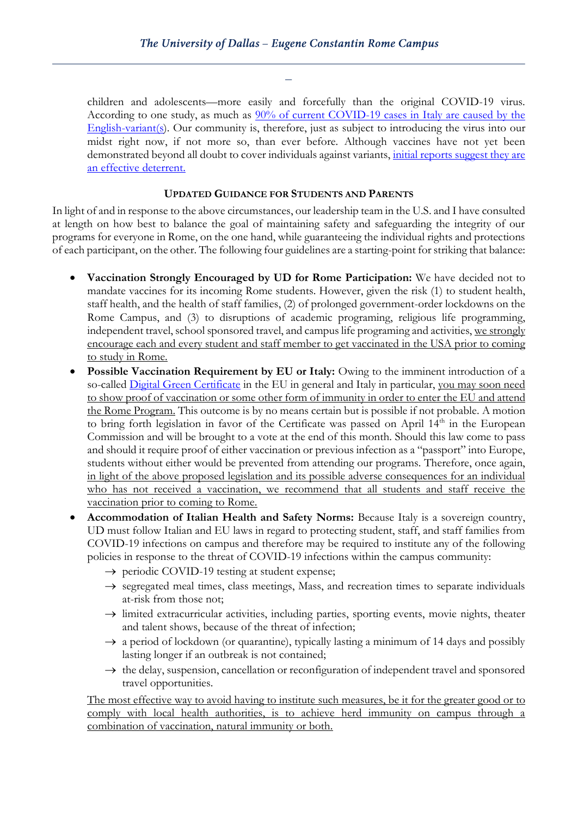children and adolescents—more easily and forcefully than the original COVID-19 virus. According to one study, as much as [90% of current COVID-19 cases in Italy are caused by the](https://www.corriere.it/salute/malattie_infettive/21_marzo_30/coronavirus-variante-inglese-quasi-90percento-italia-brasiliana-si-mantiene-4percento-0a9cfbc6-907d-11eb-994c-fd00bc1269a9.shtml)  [English-variant\(s\)](https://www.corriere.it/salute/malattie_infettive/21_marzo_30/coronavirus-variante-inglese-quasi-90percento-italia-brasiliana-si-mantiene-4percento-0a9cfbc6-907d-11eb-994c-fd00bc1269a9.shtml). Our community is, therefore, just as subject to introducing the virus into our midst right now, if not more so, than ever before. Although vaccines have not yet been demonstrated beyond all doubt to cover individuals against variants, initial reports suggest they are [an effective deterrent.](https://www.forbes.com/sites/leahrosenbaum/2021/04/09/how-vaccine-companies-are-battling-covid-19-variants/?sh=2c81ff7d753f)

## **UPDATED GUIDANCE FOR STUDENTS AND PARENTS**

In light of and in response to the above circumstances, our leadership team in the U.S. and I have consulted at length on how best to balance the goal of maintaining safety and safeguarding the integrity of our programs for everyone in Rome, on the one hand, while guaranteeing the individual rights and protections of each participant, on the other. The following four guidelines are a starting-point for striking that balance:

- **Vaccination Strongly Encouraged by UD for Rome Participation:** We have decided not to mandate vaccines for its incoming Rome students. However, given the risk (1) to student health, staff health, and the health of staff families, (2) of prolonged government-order lockdowns on the Rome Campus, and (3) to disruptions of academic programing, religious life programming, independent travel, school sponsored travel, and campus life programing and activities, we strongly encourage each and every student and staff member to get vaccinated in the USA prior to coming to study in Rome.
- **Possible Vaccination Requirement by EU or Italy:** Owing to the imminent introduction of a so-called [Digital Green Certificate](https://agenceurope.eu/en/bulletin/article/12689/2) in the EU in general and Italy in particular, you may soon need to show proof of vaccination or some other form of immunity in order to enter the EU and attend the Rome Program. This outcome is by no means certain but is possible if not probable. A motion to bring forth legislation in favor of the Certificate was passed on April 14<sup>th</sup> in the European Commission and will be brought to a vote at the end of this month. Should this law come to pass and should it require proof of either vaccination or previous infection as a "passport" into Europe, students without either would be prevented from attending our programs. Therefore, once again, in light of the above proposed legislation and its possible adverse consequences for an individual who has not received a vaccination, we recommend that all students and staff receive the vaccination prior to coming to Rome.
- **Accommodation of Italian Health and Safety Norms:** Because Italy is a sovereign country, UD must follow Italian and EU laws in regard to protecting student, staff, and staff families from COVID-19 infections on campus and therefore may be required to institute any of the following policies in response to the threat of COVID-19 infections within the campus community:
	- $\rightarrow$  periodic COVID-19 testing at student expense;
	- $\rightarrow$  segregated meal times, class meetings, Mass, and recreation times to separate individuals at-risk from those not;
	- $\rightarrow$  limited extracurricular activities, including parties, sporting events, movie nights, theater and talent shows, because of the threat of infection;
	- $\rightarrow$  a period of lockdown (or quarantine), typically lasting a minimum of 14 days and possibly lasting longer if an outbreak is not contained;
	- $\rightarrow$  the delay, suspension, cancellation or reconfiguration of independent travel and sponsored travel opportunities.

The most effective way to avoid having to institute such measures, be it for the greater good or to comply with local health authorities, is to achieve herd immunity on campus through a combination of vaccination, natural immunity or both.